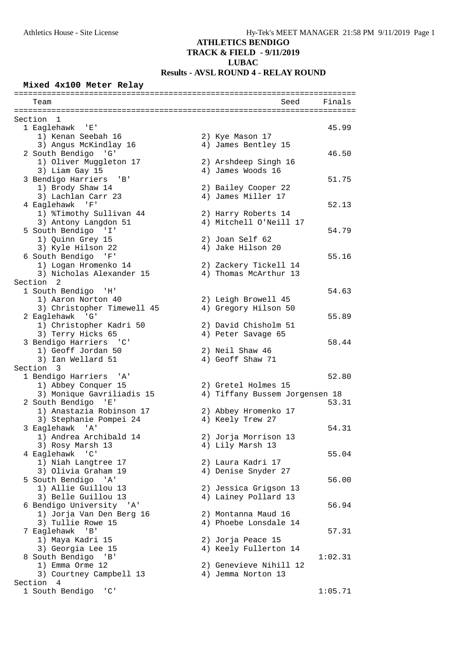## **ATHLETICS BENDIGO**

# **TRACK & FIELD - 9/11/2019**

## **LUBAC**

## **Results - AVSL ROUND 4 - RELAY ROUND**

### **Mixed 4x100 Meter Relay**

| Finals<br>Seed<br>Team<br>Section<br>1<br>1 Eaglehawk 'E'<br>45.99<br>1) Kenan Seebah 16<br>2) Kye Mason 17<br>3) Angus McKindlay 16<br>4) James Bentley 15<br>2 South Bendigo 'G'<br>46.50<br>1) Oliver Muggleton 17<br>2) Arshdeep Singh 16<br>3) Liam Gay 15<br>4) James Woods 16<br>3 Bendigo Harriers 'B'<br>51.75<br>1) Brody Shaw 14<br>2) Bailey Cooper 22<br>4) James Miller 17<br>3) Lachlan Carr 23<br>4 Eaglehawk<br>$^{\prime}$ F <sup><math>_{\prime}</math></sup><br>52.13<br>1) %Timothy Sullivan 44<br>2) Harry Roberts 14<br>4) Mitchell O'Neill 17<br>3) Antony Langdon 51<br>5 South Bendigo 'I'<br>54.79<br>1) Quinn Grey 15<br>2) Joan Self 62<br>3) Kyle Hilson 22<br>4) Jake Hilson 20<br>6 South Bendigo 'F'<br>55.16<br>1) Logan Hromenko 14<br>2) Zackery Tickell 14<br>3) Nicholas Alexander 15<br>4) Thomas McArthur 13<br>Section 2<br>1 South Bendigo 'H'<br>54.63<br>1) Aaron Norton 40<br>2) Leigh Browell 45<br>3) Christopher Timewell 45<br>4) Gregory Hilson 50<br>2 Eaglehawk 'G'<br>55.89<br>1) Christopher Kadri 50<br>2) David Chisholm 51<br>3) Terry Hicks 65<br>4) Peter Savage 65<br>3 Bendigo Harriers 'C'<br>58.44<br>1) Geoff Jordan 50<br>2) Neil Shaw 46<br>4) Geoff Shaw 71<br>3) Ian Wellard 51<br>Section 3<br>1 Bendigo Harriers 'A'<br>52.80<br>1) Abbey Conquer 15<br>2) Gretel Holmes 15<br>3) Monique Gavriliadis 15<br>4) Tiffany Bussem Jorgensen 18<br>2 South Bendigo 'E'<br>53.31<br>1) Anastazia Robinson 17<br>2) Abbey Hromenko 17<br>3) Stephanie Pompei 24<br>4) Keely Trew 27<br>3 Eaglehawk 'A'<br>54.31<br>1) Andrea Archibald 14<br>2) Jorja Morrison 13<br>3) Rosy Marsh 13<br>4) Lily Marsh 13<br>4 Eaglehawk<br>$\overline{\phantom{a}}$ $\overline{\phantom{a}}$<br>55.04<br>1) Niah Langtree 17<br>2) Laura Kadri 17<br>3) Olivia Graham 19<br>4) Denise Snyder 27<br>5 South Bendigo 'A'<br>56.00<br>1) Allie Guillou 13<br>2) Jessica Grigson 13<br>3) Belle Guillou 13<br>4) Lainey Pollard 13<br>6 Bendigo University 'A'<br>56.94<br>1) Jorja Van Den Berg 16<br>2) Montanna Maud 16<br>3) Tullie Rowe 15<br>4) Phoebe Lonsdale 14<br>7 Eaglehawk 'B'<br>57.31<br>1) Maya Kadri 15<br>2) Jorja Peace 15<br>3) Georgia Lee 15<br>4) Keely Fullerton 14<br>8 South Bendigo 'B'<br>1:02.31<br>2) Genevieve Nihill 12<br>1) Emma Orme 12<br>3) Courtney Campbell 13<br>4) Jemma Norton 13<br>Section 4<br>1 South Bendigo<br>$\overline{\phantom{a}}$ $\overline{\phantom{a}}$<br>1:05.71 |  |  |  |
|-------------------------------------------------------------------------------------------------------------------------------------------------------------------------------------------------------------------------------------------------------------------------------------------------------------------------------------------------------------------------------------------------------------------------------------------------------------------------------------------------------------------------------------------------------------------------------------------------------------------------------------------------------------------------------------------------------------------------------------------------------------------------------------------------------------------------------------------------------------------------------------------------------------------------------------------------------------------------------------------------------------------------------------------------------------------------------------------------------------------------------------------------------------------------------------------------------------------------------------------------------------------------------------------------------------------------------------------------------------------------------------------------------------------------------------------------------------------------------------------------------------------------------------------------------------------------------------------------------------------------------------------------------------------------------------------------------------------------------------------------------------------------------------------------------------------------------------------------------------------------------------------------------------------------------------------------------------------------------------------------------------------------------------------------------------------------------------------------------------------------------------------------------------------------------------------------------------------------------------------------------------------------------------------------------------------------------------------------------------------------------------------------------------------------------------------------------------------------|--|--|--|
|                                                                                                                                                                                                                                                                                                                                                                                                                                                                                                                                                                                                                                                                                                                                                                                                                                                                                                                                                                                                                                                                                                                                                                                                                                                                                                                                                                                                                                                                                                                                                                                                                                                                                                                                                                                                                                                                                                                                                                                                                                                                                                                                                                                                                                                                                                                                                                                                                                                                         |  |  |  |
|                                                                                                                                                                                                                                                                                                                                                                                                                                                                                                                                                                                                                                                                                                                                                                                                                                                                                                                                                                                                                                                                                                                                                                                                                                                                                                                                                                                                                                                                                                                                                                                                                                                                                                                                                                                                                                                                                                                                                                                                                                                                                                                                                                                                                                                                                                                                                                                                                                                                         |  |  |  |
|                                                                                                                                                                                                                                                                                                                                                                                                                                                                                                                                                                                                                                                                                                                                                                                                                                                                                                                                                                                                                                                                                                                                                                                                                                                                                                                                                                                                                                                                                                                                                                                                                                                                                                                                                                                                                                                                                                                                                                                                                                                                                                                                                                                                                                                                                                                                                                                                                                                                         |  |  |  |
|                                                                                                                                                                                                                                                                                                                                                                                                                                                                                                                                                                                                                                                                                                                                                                                                                                                                                                                                                                                                                                                                                                                                                                                                                                                                                                                                                                                                                                                                                                                                                                                                                                                                                                                                                                                                                                                                                                                                                                                                                                                                                                                                                                                                                                                                                                                                                                                                                                                                         |  |  |  |
|                                                                                                                                                                                                                                                                                                                                                                                                                                                                                                                                                                                                                                                                                                                                                                                                                                                                                                                                                                                                                                                                                                                                                                                                                                                                                                                                                                                                                                                                                                                                                                                                                                                                                                                                                                                                                                                                                                                                                                                                                                                                                                                                                                                                                                                                                                                                                                                                                                                                         |  |  |  |
|                                                                                                                                                                                                                                                                                                                                                                                                                                                                                                                                                                                                                                                                                                                                                                                                                                                                                                                                                                                                                                                                                                                                                                                                                                                                                                                                                                                                                                                                                                                                                                                                                                                                                                                                                                                                                                                                                                                                                                                                                                                                                                                                                                                                                                                                                                                                                                                                                                                                         |  |  |  |
|                                                                                                                                                                                                                                                                                                                                                                                                                                                                                                                                                                                                                                                                                                                                                                                                                                                                                                                                                                                                                                                                                                                                                                                                                                                                                                                                                                                                                                                                                                                                                                                                                                                                                                                                                                                                                                                                                                                                                                                                                                                                                                                                                                                                                                                                                                                                                                                                                                                                         |  |  |  |
|                                                                                                                                                                                                                                                                                                                                                                                                                                                                                                                                                                                                                                                                                                                                                                                                                                                                                                                                                                                                                                                                                                                                                                                                                                                                                                                                                                                                                                                                                                                                                                                                                                                                                                                                                                                                                                                                                                                                                                                                                                                                                                                                                                                                                                                                                                                                                                                                                                                                         |  |  |  |
|                                                                                                                                                                                                                                                                                                                                                                                                                                                                                                                                                                                                                                                                                                                                                                                                                                                                                                                                                                                                                                                                                                                                                                                                                                                                                                                                                                                                                                                                                                                                                                                                                                                                                                                                                                                                                                                                                                                                                                                                                                                                                                                                                                                                                                                                                                                                                                                                                                                                         |  |  |  |
|                                                                                                                                                                                                                                                                                                                                                                                                                                                                                                                                                                                                                                                                                                                                                                                                                                                                                                                                                                                                                                                                                                                                                                                                                                                                                                                                                                                                                                                                                                                                                                                                                                                                                                                                                                                                                                                                                                                                                                                                                                                                                                                                                                                                                                                                                                                                                                                                                                                                         |  |  |  |
|                                                                                                                                                                                                                                                                                                                                                                                                                                                                                                                                                                                                                                                                                                                                                                                                                                                                                                                                                                                                                                                                                                                                                                                                                                                                                                                                                                                                                                                                                                                                                                                                                                                                                                                                                                                                                                                                                                                                                                                                                                                                                                                                                                                                                                                                                                                                                                                                                                                                         |  |  |  |
|                                                                                                                                                                                                                                                                                                                                                                                                                                                                                                                                                                                                                                                                                                                                                                                                                                                                                                                                                                                                                                                                                                                                                                                                                                                                                                                                                                                                                                                                                                                                                                                                                                                                                                                                                                                                                                                                                                                                                                                                                                                                                                                                                                                                                                                                                                                                                                                                                                                                         |  |  |  |
|                                                                                                                                                                                                                                                                                                                                                                                                                                                                                                                                                                                                                                                                                                                                                                                                                                                                                                                                                                                                                                                                                                                                                                                                                                                                                                                                                                                                                                                                                                                                                                                                                                                                                                                                                                                                                                                                                                                                                                                                                                                                                                                                                                                                                                                                                                                                                                                                                                                                         |  |  |  |
|                                                                                                                                                                                                                                                                                                                                                                                                                                                                                                                                                                                                                                                                                                                                                                                                                                                                                                                                                                                                                                                                                                                                                                                                                                                                                                                                                                                                                                                                                                                                                                                                                                                                                                                                                                                                                                                                                                                                                                                                                                                                                                                                                                                                                                                                                                                                                                                                                                                                         |  |  |  |
|                                                                                                                                                                                                                                                                                                                                                                                                                                                                                                                                                                                                                                                                                                                                                                                                                                                                                                                                                                                                                                                                                                                                                                                                                                                                                                                                                                                                                                                                                                                                                                                                                                                                                                                                                                                                                                                                                                                                                                                                                                                                                                                                                                                                                                                                                                                                                                                                                                                                         |  |  |  |
|                                                                                                                                                                                                                                                                                                                                                                                                                                                                                                                                                                                                                                                                                                                                                                                                                                                                                                                                                                                                                                                                                                                                                                                                                                                                                                                                                                                                                                                                                                                                                                                                                                                                                                                                                                                                                                                                                                                                                                                                                                                                                                                                                                                                                                                                                                                                                                                                                                                                         |  |  |  |
|                                                                                                                                                                                                                                                                                                                                                                                                                                                                                                                                                                                                                                                                                                                                                                                                                                                                                                                                                                                                                                                                                                                                                                                                                                                                                                                                                                                                                                                                                                                                                                                                                                                                                                                                                                                                                                                                                                                                                                                                                                                                                                                                                                                                                                                                                                                                                                                                                                                                         |  |  |  |
|                                                                                                                                                                                                                                                                                                                                                                                                                                                                                                                                                                                                                                                                                                                                                                                                                                                                                                                                                                                                                                                                                                                                                                                                                                                                                                                                                                                                                                                                                                                                                                                                                                                                                                                                                                                                                                                                                                                                                                                                                                                                                                                                                                                                                                                                                                                                                                                                                                                                         |  |  |  |
|                                                                                                                                                                                                                                                                                                                                                                                                                                                                                                                                                                                                                                                                                                                                                                                                                                                                                                                                                                                                                                                                                                                                                                                                                                                                                                                                                                                                                                                                                                                                                                                                                                                                                                                                                                                                                                                                                                                                                                                                                                                                                                                                                                                                                                                                                                                                                                                                                                                                         |  |  |  |
|                                                                                                                                                                                                                                                                                                                                                                                                                                                                                                                                                                                                                                                                                                                                                                                                                                                                                                                                                                                                                                                                                                                                                                                                                                                                                                                                                                                                                                                                                                                                                                                                                                                                                                                                                                                                                                                                                                                                                                                                                                                                                                                                                                                                                                                                                                                                                                                                                                                                         |  |  |  |
|                                                                                                                                                                                                                                                                                                                                                                                                                                                                                                                                                                                                                                                                                                                                                                                                                                                                                                                                                                                                                                                                                                                                                                                                                                                                                                                                                                                                                                                                                                                                                                                                                                                                                                                                                                                                                                                                                                                                                                                                                                                                                                                                                                                                                                                                                                                                                                                                                                                                         |  |  |  |
|                                                                                                                                                                                                                                                                                                                                                                                                                                                                                                                                                                                                                                                                                                                                                                                                                                                                                                                                                                                                                                                                                                                                                                                                                                                                                                                                                                                                                                                                                                                                                                                                                                                                                                                                                                                                                                                                                                                                                                                                                                                                                                                                                                                                                                                                                                                                                                                                                                                                         |  |  |  |
|                                                                                                                                                                                                                                                                                                                                                                                                                                                                                                                                                                                                                                                                                                                                                                                                                                                                                                                                                                                                                                                                                                                                                                                                                                                                                                                                                                                                                                                                                                                                                                                                                                                                                                                                                                                                                                                                                                                                                                                                                                                                                                                                                                                                                                                                                                                                                                                                                                                                         |  |  |  |
|                                                                                                                                                                                                                                                                                                                                                                                                                                                                                                                                                                                                                                                                                                                                                                                                                                                                                                                                                                                                                                                                                                                                                                                                                                                                                                                                                                                                                                                                                                                                                                                                                                                                                                                                                                                                                                                                                                                                                                                                                                                                                                                                                                                                                                                                                                                                                                                                                                                                         |  |  |  |
|                                                                                                                                                                                                                                                                                                                                                                                                                                                                                                                                                                                                                                                                                                                                                                                                                                                                                                                                                                                                                                                                                                                                                                                                                                                                                                                                                                                                                                                                                                                                                                                                                                                                                                                                                                                                                                                                                                                                                                                                                                                                                                                                                                                                                                                                                                                                                                                                                                                                         |  |  |  |
|                                                                                                                                                                                                                                                                                                                                                                                                                                                                                                                                                                                                                                                                                                                                                                                                                                                                                                                                                                                                                                                                                                                                                                                                                                                                                                                                                                                                                                                                                                                                                                                                                                                                                                                                                                                                                                                                                                                                                                                                                                                                                                                                                                                                                                                                                                                                                                                                                                                                         |  |  |  |
|                                                                                                                                                                                                                                                                                                                                                                                                                                                                                                                                                                                                                                                                                                                                                                                                                                                                                                                                                                                                                                                                                                                                                                                                                                                                                                                                                                                                                                                                                                                                                                                                                                                                                                                                                                                                                                                                                                                                                                                                                                                                                                                                                                                                                                                                                                                                                                                                                                                                         |  |  |  |
|                                                                                                                                                                                                                                                                                                                                                                                                                                                                                                                                                                                                                                                                                                                                                                                                                                                                                                                                                                                                                                                                                                                                                                                                                                                                                                                                                                                                                                                                                                                                                                                                                                                                                                                                                                                                                                                                                                                                                                                                                                                                                                                                                                                                                                                                                                                                                                                                                                                                         |  |  |  |
|                                                                                                                                                                                                                                                                                                                                                                                                                                                                                                                                                                                                                                                                                                                                                                                                                                                                                                                                                                                                                                                                                                                                                                                                                                                                                                                                                                                                                                                                                                                                                                                                                                                                                                                                                                                                                                                                                                                                                                                                                                                                                                                                                                                                                                                                                                                                                                                                                                                                         |  |  |  |
|                                                                                                                                                                                                                                                                                                                                                                                                                                                                                                                                                                                                                                                                                                                                                                                                                                                                                                                                                                                                                                                                                                                                                                                                                                                                                                                                                                                                                                                                                                                                                                                                                                                                                                                                                                                                                                                                                                                                                                                                                                                                                                                                                                                                                                                                                                                                                                                                                                                                         |  |  |  |
|                                                                                                                                                                                                                                                                                                                                                                                                                                                                                                                                                                                                                                                                                                                                                                                                                                                                                                                                                                                                                                                                                                                                                                                                                                                                                                                                                                                                                                                                                                                                                                                                                                                                                                                                                                                                                                                                                                                                                                                                                                                                                                                                                                                                                                                                                                                                                                                                                                                                         |  |  |  |
|                                                                                                                                                                                                                                                                                                                                                                                                                                                                                                                                                                                                                                                                                                                                                                                                                                                                                                                                                                                                                                                                                                                                                                                                                                                                                                                                                                                                                                                                                                                                                                                                                                                                                                                                                                                                                                                                                                                                                                                                                                                                                                                                                                                                                                                                                                                                                                                                                                                                         |  |  |  |
|                                                                                                                                                                                                                                                                                                                                                                                                                                                                                                                                                                                                                                                                                                                                                                                                                                                                                                                                                                                                                                                                                                                                                                                                                                                                                                                                                                                                                                                                                                                                                                                                                                                                                                                                                                                                                                                                                                                                                                                                                                                                                                                                                                                                                                                                                                                                                                                                                                                                         |  |  |  |
|                                                                                                                                                                                                                                                                                                                                                                                                                                                                                                                                                                                                                                                                                                                                                                                                                                                                                                                                                                                                                                                                                                                                                                                                                                                                                                                                                                                                                                                                                                                                                                                                                                                                                                                                                                                                                                                                                                                                                                                                                                                                                                                                                                                                                                                                                                                                                                                                                                                                         |  |  |  |
|                                                                                                                                                                                                                                                                                                                                                                                                                                                                                                                                                                                                                                                                                                                                                                                                                                                                                                                                                                                                                                                                                                                                                                                                                                                                                                                                                                                                                                                                                                                                                                                                                                                                                                                                                                                                                                                                                                                                                                                                                                                                                                                                                                                                                                                                                                                                                                                                                                                                         |  |  |  |
|                                                                                                                                                                                                                                                                                                                                                                                                                                                                                                                                                                                                                                                                                                                                                                                                                                                                                                                                                                                                                                                                                                                                                                                                                                                                                                                                                                                                                                                                                                                                                                                                                                                                                                                                                                                                                                                                                                                                                                                                                                                                                                                                                                                                                                                                                                                                                                                                                                                                         |  |  |  |
|                                                                                                                                                                                                                                                                                                                                                                                                                                                                                                                                                                                                                                                                                                                                                                                                                                                                                                                                                                                                                                                                                                                                                                                                                                                                                                                                                                                                                                                                                                                                                                                                                                                                                                                                                                                                                                                                                                                                                                                                                                                                                                                                                                                                                                                                                                                                                                                                                                                                         |  |  |  |
|                                                                                                                                                                                                                                                                                                                                                                                                                                                                                                                                                                                                                                                                                                                                                                                                                                                                                                                                                                                                                                                                                                                                                                                                                                                                                                                                                                                                                                                                                                                                                                                                                                                                                                                                                                                                                                                                                                                                                                                                                                                                                                                                                                                                                                                                                                                                                                                                                                                                         |  |  |  |
|                                                                                                                                                                                                                                                                                                                                                                                                                                                                                                                                                                                                                                                                                                                                                                                                                                                                                                                                                                                                                                                                                                                                                                                                                                                                                                                                                                                                                                                                                                                                                                                                                                                                                                                                                                                                                                                                                                                                                                                                                                                                                                                                                                                                                                                                                                                                                                                                                                                                         |  |  |  |
|                                                                                                                                                                                                                                                                                                                                                                                                                                                                                                                                                                                                                                                                                                                                                                                                                                                                                                                                                                                                                                                                                                                                                                                                                                                                                                                                                                                                                                                                                                                                                                                                                                                                                                                                                                                                                                                                                                                                                                                                                                                                                                                                                                                                                                                                                                                                                                                                                                                                         |  |  |  |
|                                                                                                                                                                                                                                                                                                                                                                                                                                                                                                                                                                                                                                                                                                                                                                                                                                                                                                                                                                                                                                                                                                                                                                                                                                                                                                                                                                                                                                                                                                                                                                                                                                                                                                                                                                                                                                                                                                                                                                                                                                                                                                                                                                                                                                                                                                                                                                                                                                                                         |  |  |  |
|                                                                                                                                                                                                                                                                                                                                                                                                                                                                                                                                                                                                                                                                                                                                                                                                                                                                                                                                                                                                                                                                                                                                                                                                                                                                                                                                                                                                                                                                                                                                                                                                                                                                                                                                                                                                                                                                                                                                                                                                                                                                                                                                                                                                                                                                                                                                                                                                                                                                         |  |  |  |
|                                                                                                                                                                                                                                                                                                                                                                                                                                                                                                                                                                                                                                                                                                                                                                                                                                                                                                                                                                                                                                                                                                                                                                                                                                                                                                                                                                                                                                                                                                                                                                                                                                                                                                                                                                                                                                                                                                                                                                                                                                                                                                                                                                                                                                                                                                                                                                                                                                                                         |  |  |  |
|                                                                                                                                                                                                                                                                                                                                                                                                                                                                                                                                                                                                                                                                                                                                                                                                                                                                                                                                                                                                                                                                                                                                                                                                                                                                                                                                                                                                                                                                                                                                                                                                                                                                                                                                                                                                                                                                                                                                                                                                                                                                                                                                                                                                                                                                                                                                                                                                                                                                         |  |  |  |
|                                                                                                                                                                                                                                                                                                                                                                                                                                                                                                                                                                                                                                                                                                                                                                                                                                                                                                                                                                                                                                                                                                                                                                                                                                                                                                                                                                                                                                                                                                                                                                                                                                                                                                                                                                                                                                                                                                                                                                                                                                                                                                                                                                                                                                                                                                                                                                                                                                                                         |  |  |  |
|                                                                                                                                                                                                                                                                                                                                                                                                                                                                                                                                                                                                                                                                                                                                                                                                                                                                                                                                                                                                                                                                                                                                                                                                                                                                                                                                                                                                                                                                                                                                                                                                                                                                                                                                                                                                                                                                                                                                                                                                                                                                                                                                                                                                                                                                                                                                                                                                                                                                         |  |  |  |
|                                                                                                                                                                                                                                                                                                                                                                                                                                                                                                                                                                                                                                                                                                                                                                                                                                                                                                                                                                                                                                                                                                                                                                                                                                                                                                                                                                                                                                                                                                                                                                                                                                                                                                                                                                                                                                                                                                                                                                                                                                                                                                                                                                                                                                                                                                                                                                                                                                                                         |  |  |  |
|                                                                                                                                                                                                                                                                                                                                                                                                                                                                                                                                                                                                                                                                                                                                                                                                                                                                                                                                                                                                                                                                                                                                                                                                                                                                                                                                                                                                                                                                                                                                                                                                                                                                                                                                                                                                                                                                                                                                                                                                                                                                                                                                                                                                                                                                                                                                                                                                                                                                         |  |  |  |
|                                                                                                                                                                                                                                                                                                                                                                                                                                                                                                                                                                                                                                                                                                                                                                                                                                                                                                                                                                                                                                                                                                                                                                                                                                                                                                                                                                                                                                                                                                                                                                                                                                                                                                                                                                                                                                                                                                                                                                                                                                                                                                                                                                                                                                                                                                                                                                                                                                                                         |  |  |  |
|                                                                                                                                                                                                                                                                                                                                                                                                                                                                                                                                                                                                                                                                                                                                                                                                                                                                                                                                                                                                                                                                                                                                                                                                                                                                                                                                                                                                                                                                                                                                                                                                                                                                                                                                                                                                                                                                                                                                                                                                                                                                                                                                                                                                                                                                                                                                                                                                                                                                         |  |  |  |
|                                                                                                                                                                                                                                                                                                                                                                                                                                                                                                                                                                                                                                                                                                                                                                                                                                                                                                                                                                                                                                                                                                                                                                                                                                                                                                                                                                                                                                                                                                                                                                                                                                                                                                                                                                                                                                                                                                                                                                                                                                                                                                                                                                                                                                                                                                                                                                                                                                                                         |  |  |  |
|                                                                                                                                                                                                                                                                                                                                                                                                                                                                                                                                                                                                                                                                                                                                                                                                                                                                                                                                                                                                                                                                                                                                                                                                                                                                                                                                                                                                                                                                                                                                                                                                                                                                                                                                                                                                                                                                                                                                                                                                                                                                                                                                                                                                                                                                                                                                                                                                                                                                         |  |  |  |
|                                                                                                                                                                                                                                                                                                                                                                                                                                                                                                                                                                                                                                                                                                                                                                                                                                                                                                                                                                                                                                                                                                                                                                                                                                                                                                                                                                                                                                                                                                                                                                                                                                                                                                                                                                                                                                                                                                                                                                                                                                                                                                                                                                                                                                                                                                                                                                                                                                                                         |  |  |  |
|                                                                                                                                                                                                                                                                                                                                                                                                                                                                                                                                                                                                                                                                                                                                                                                                                                                                                                                                                                                                                                                                                                                                                                                                                                                                                                                                                                                                                                                                                                                                                                                                                                                                                                                                                                                                                                                                                                                                                                                                                                                                                                                                                                                                                                                                                                                                                                                                                                                                         |  |  |  |
|                                                                                                                                                                                                                                                                                                                                                                                                                                                                                                                                                                                                                                                                                                                                                                                                                                                                                                                                                                                                                                                                                                                                                                                                                                                                                                                                                                                                                                                                                                                                                                                                                                                                                                                                                                                                                                                                                                                                                                                                                                                                                                                                                                                                                                                                                                                                                                                                                                                                         |  |  |  |
|                                                                                                                                                                                                                                                                                                                                                                                                                                                                                                                                                                                                                                                                                                                                                                                                                                                                                                                                                                                                                                                                                                                                                                                                                                                                                                                                                                                                                                                                                                                                                                                                                                                                                                                                                                                                                                                                                                                                                                                                                                                                                                                                                                                                                                                                                                                                                                                                                                                                         |  |  |  |
|                                                                                                                                                                                                                                                                                                                                                                                                                                                                                                                                                                                                                                                                                                                                                                                                                                                                                                                                                                                                                                                                                                                                                                                                                                                                                                                                                                                                                                                                                                                                                                                                                                                                                                                                                                                                                                                                                                                                                                                                                                                                                                                                                                                                                                                                                                                                                                                                                                                                         |  |  |  |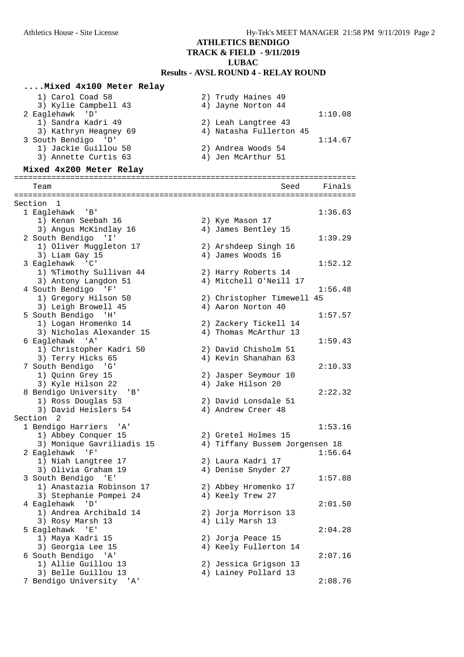#### **....Mixed 4x100 Meter Relay**

| 1) Carol Coad 58      | 2) Trudy Haines 49      |         |
|-----------------------|-------------------------|---------|
| 3) Kylie Campbell 43  | 4) Jayne Norton 44      |         |
| 2 Eaglehawk 'D'       |                         | 1:10.08 |
| 1) Sandra Kadri 49    | 2) Leah Langtree 43     |         |
| 3) Kathryn Heagney 69 | 4) Natasha Fullerton 45 |         |
| 3 South Bendigo 'D'   |                         | 1:14.67 |
| 1) Jackie Guillou 50  | 2) Andrea Woods 54      |         |
| 3) Annette Curtis 63  | 4) Jen McArthur 51      |         |
|                       |                         |         |

=========================================================================

#### **Mixed 4x200 Meter Relay**

 Team Seed Finals ========================================================================= Section 1 1 Eaglehawk 'B' 1:36.63 1) Kenan Seebah 16 2) Kye Mason 17 3) Angus McKindlay 16 (4) James Bentley 15 2 South Bendigo 'I' 1:39.29 1) Oliver Muggleton 17 2) Arshdeep Singh 16<br>1) Oliver Muggleton 17 2) Arshdeep Singh 16  $3)$  Liam Gay  $15$   $4)$  James Woods  $16$  3 Eaglehawk 'C' 1:52.12 1) %Timothy Sullivan 44 2) Harry Roberts 14 3) Antony Langdon 51 4) Mitchell O'Neill 17 4 South Bendigo 'F' 1:56.48 1) Gregory Hilson 50 2) Christopher Timewell 45 3) Leigh Browell 45 4) Aaron Norton 40 1) Gregory Hilson 50<br>
3) Leigh Browell 45<br>
5 South Bendigo 'H' 1:57.57<br>
1) Logan Hromenko 14<br>
2) Zackery Tickell 14<br>
<sup>2</sup> Zackery Tickell 14 1) Logan Hromenko 14 2) Zackery Tickell 14 3) Nicholas Alexander 15 4) Thomas McArthur 13 6 Eaglehawk 'A' 1:59.43 1) Christopher Kadri 50 2) David Chisholm 51 3) Terry Hicks 65 4) Kevin Shanahan 63 3) Terry Hicks 65 (3) 2:10.33<br>7 South Bendigo 'G' 2:10.33 1) Quinn Grey 15 2) Jasper Seymour 10 3) Kyle Hilson 22 4) Jake Hilson 20 8 Bendigo University 'B' 2:22.32 1) Ross Douglas 53 2) David Lonsdale 51 3) David Heislers 54 (4) Andrew Creer 48 Section 2 1 Bendigo Harriers 'A' 1:53.16<br>1) Abbey Conquer 15 2) Gretel Holmes 15 1) Abbey Conquer 15 2) Gretel Holmes 15 3) Monique Gavriliadis 15 4) Tiffany Bussem Jorgensen 18 2 Eaglehawk 'F' 1:56.64<br>
1) Niah Langtree 17 (2) Laura Kadri 17 (3) Olivia Graham 19 (4) Denise Snyder 27 1) Niah Langtree 17 2) Laura Kadri 17 3) Olivia Graham 19 4) Denise Snyder 27 3 South Bendigo 'E' 1:57.88 1) Anastazia Robinson 17 2) Abbey Hromenko 17 3) Stephanie Pompei 24  $\qquad \qquad$  4) Keely Trew 27 4 Eaglehawk 'D' 2:01.50 1) Andrea Archibald 14 2) Jorja Morrison 13<br>3) Rosy Marsh 13 3 4) Lily Marsh 13 3) Rosy Marsh 13 5 Eaglehawk 'E' 2:04.28 1) Maya Kadri 15 2) Jorja Peace 15 3) Georgia Lee 15 4) Keely Fullerton 14 3) Georgia Lee 15<br>
3) Georgia Lee 15<br>
6 South Bendigo 'A' 2:07.16<br>
1) Allie Guillou 13<br>
3) Belle Guillou 13<br>
3) Belle Guillou 13<br>
4) Lainey Pollard 13 1) Allie Guillou 13 2) Jessica Grigson 13 3) Belle Guillou 13 4) Lainey Pollard 13 7 Bendigo University 'A' 2:08.76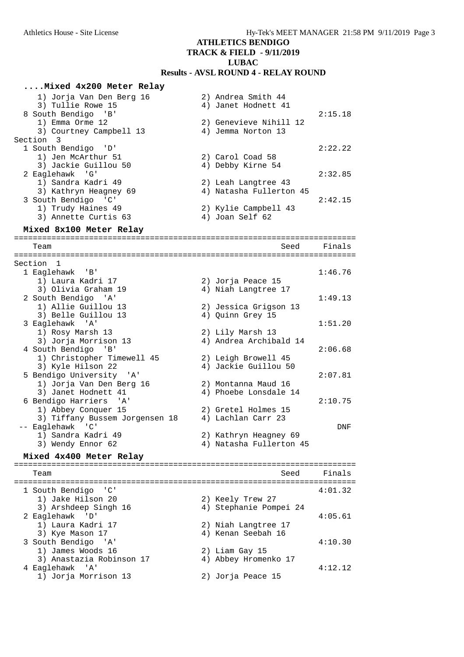| Mixed 4x200 Meter Relay                                           |                                                  |         |
|-------------------------------------------------------------------|--------------------------------------------------|---------|
| 1) Jorja Van Den Berg 16<br>3) Tullie Rowe 15                     | 2) Andrea Smith 44<br>4) Janet Hodnett 41        |         |
| 8 South Bendigo 'B'<br>1) Emma Orme 12<br>3) Courtney Campbell 13 | 2) Genevieve Nihill 12<br>4) Jemma Norton 13     | 2:15.18 |
| Section 3<br>1 South Bendigo 'D'                                  |                                                  | 2:22.22 |
| 1) Jen McArthur 51<br>3) Jackie Guillou 50                        | 2) Carol Coad 58<br>4) Debby Kirne 54            |         |
| 2 Eaglehawk 'G'<br>1) Sandra Kadri 49<br>3) Kathryn Heagney 69    | 2) Leah Langtree 43<br>4) Natasha Fullerton 45   | 2:32.85 |
| 3 South Bendigo 'C'<br>1) Trudy Haines 49<br>3) Annette Curtis 63 | 2) Kylie Campbell 43<br>4) Joan Self 62          | 2:42.15 |
| Mixed 8x100 Meter Relay                                           |                                                  |         |
|                                                                   |                                                  |         |
| Team                                                              | Seed                                             | Finals  |
| Section 1                                                         |                                                  |         |
| 1 Eaglehawk 'B'                                                   |                                                  | 1:46.76 |
| 1) Laura Kadri 17                                                 | 2) Jorja Peace 15                                |         |
| 3) Olivia Graham 19                                               | 4) Niah Langtree 17                              |         |
| 2 South Bendigo 'A'<br>1) Allie Guillou 13                        | 2) Jessica Grigson 13                            | 1:49.13 |
| 3) Belle Guillou 13                                               | 4) Quinn Grey 15                                 |         |
| 3 Eaglehawk 'A'                                                   |                                                  | 1:51.20 |
| 1) Rosy Marsh 13                                                  | 2) Lily Marsh 13                                 |         |
| 3) Jorja Morrison 13                                              | 4) Andrea Archibald 14                           |         |
| 4 South Bendigo 'B'                                               |                                                  | 2:06.68 |
| 1) Christopher Timewell 45                                        | 2) Leigh Browell 45                              |         |
| 3) Kyle Hilson 22<br>5 Bendigo University 'A'                     | 4) Jackie Guillou 50                             | 2:07.81 |
| 1) Jorja Van Den Berg 16                                          | 2) Montanna Maud 16                              |         |
| 3) Janet Hodnett 41                                               | 4) Phoebe Lonsdale 14                            |         |
| 6 Bendigo Harriers 'A'                                            |                                                  | 2:10.75 |
| 1) Abbey Conquer 15                                               | 2) Gretel Holmes 15                              |         |
| 3) Tiffany Bussem Jorgensen 18                                    | 4) Lachlan Carr 23                               |         |
| -- Eaglehawk 'C'                                                  |                                                  | DNF     |
| 1) Sandra Kadri 49<br>3) Wendy Ennor 62                           | 2) Kathryn Heagney 69<br>4) Natasha Fullerton 45 |         |
|                                                                   |                                                  |         |
| Mixed 4x400 Meter Relay                                           |                                                  |         |
| Team                                                              | Seed                                             | Finals  |
|                                                                   |                                                  |         |
| 1 South Bendigo<br>$\cdot$ ' C '<br>1) Jake Hilson 20             | 2) Keely Trew 27                                 | 4:01.32 |
| 3) Arshdeep Singh 16                                              | 4) Stephanie Pompei 24                           |         |
| 2 Eaglehawk<br>'D'                                                |                                                  | 4:05.61 |
| 1) Laura Kadri 17                                                 | 2) Niah Langtree 17                              |         |
| 3) Kye Mason 17                                                   | 4) Kenan Seebah 16                               |         |
| 3 South Bendigo 'A'                                               |                                                  | 4:10.30 |
| 1) James Woods 16                                                 | 2) Liam Gay 15                                   |         |
| 3) Anastazia Robinson 17                                          | 4) Abbey Hromenko 17                             |         |
| 4 Eaglehawk<br>$^{\prime}$ A $^{\prime}$<br>1) Jorja Morrison 13  |                                                  | 4:12.12 |
|                                                                   | 2) Jorja Peace 15                                |         |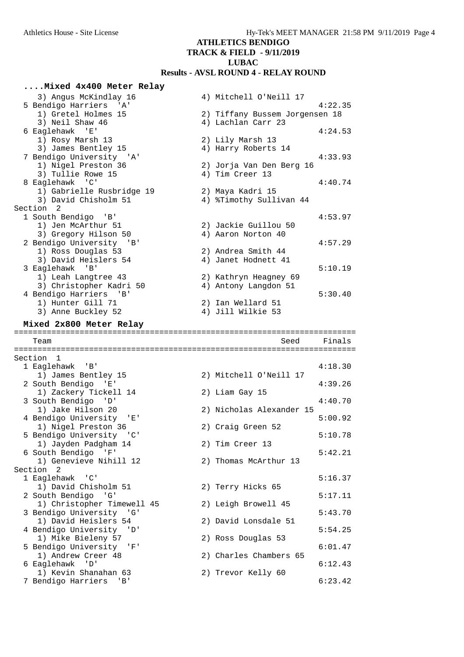| Mixed 4x400 Meter Relay                           |                                         |         |
|---------------------------------------------------|-----------------------------------------|---------|
| 3) Angus McKindlay 16                             | 4) Mitchell O'Neill 17                  |         |
| 5 Bendigo Harriers 'A'                            |                                         | 4:22.35 |
| 1) Gretel Holmes 15                               | 2) Tiffany Bussem Jorgensen 18          |         |
| 3) Neil Shaw 46                                   | 4) Lachlan Carr 23                      |         |
| 6 Eaglehawk 'E'                                   |                                         | 4:24.53 |
| 1) Rosy Marsh 13<br>3) James Bentley 15           | 2) Lily Marsh 13<br>4) Harry Roberts 14 |         |
| 7 Bendigo University 'A'                          |                                         | 4:33.93 |
| 1) Nigel Preston 36                               | 2) Jorja Van Den Berg 16                |         |
| 3) Tullie Rowe 15                                 | 4) Tim Creer 13                         |         |
| 8 Eaglehawk 'C'                                   |                                         | 4:40.74 |
| 1) Gabrielle Rusbridge 19                         | 2) Maya Kadri 15                        |         |
| 3) David Chisholm 51                              | 4) %Timothy Sullivan 44                 |         |
| Section <sub>2</sub>                              |                                         |         |
| 1 South Bendigo<br>'B'<br>1) Jen McArthur 51      | 2) Jackie Guillou 50                    | 4:53.97 |
| 3) Gregory Hilson 50                              | 4) Aaron Norton 40                      |         |
| 2 Bendigo University 'B'                          |                                         | 4:57.29 |
| 1) Ross Douglas 53                                | 2) Andrea Smith 44                      |         |
| 3) David Heislers 54                              | 4) Janet Hodnett 41                     |         |
| 3 Eaglehawk 'B'                                   |                                         | 5:10.19 |
| 1) Leah Langtree 43                               | 2) Kathryn Heagney 69                   |         |
| 3) Christopher Kadri 50                           | 4) Antony Langdon 51                    |         |
| 4 Bendigo Harriers 'B'                            | 2) Ian Wellard 51                       | 5:30.40 |
| 1) Hunter Gill 71<br>3) Anne Buckley 52           | 4) Jill Wilkie 53                       |         |
|                                                   |                                         |         |
| Mixed 2x800 Meter Relay                           |                                         |         |
|                                                   |                                         |         |
| Team                                              | Seed                                    | Finals  |
|                                                   |                                         |         |
| Section 1                                         |                                         |         |
| 1 Eaglehawk<br>'B'                                |                                         | 4:18.30 |
| 1) James Bentley 15                               | 2) Mitchell O'Neill 17                  |         |
| 2 South Bendigo 'E'                               |                                         | 4:39.26 |
| 1) Zackery Tickell 14                             | 2) Liam Gay 15                          |         |
| 3 South Bendigo 'D'                               |                                         | 4:40.70 |
| 1) Jake Hilson 20<br>4 Bendigo University<br>一「E「 | 2) Nicholas Alexander 15                | 5:00.92 |
| 1) Nigel Preston 36                               | 2) Craig Green 52                       |         |
| 5 Bendigo University 'C'                          |                                         | 5:10.78 |
| 1) Jayden Padgham 14                              | 2) Tim Creer 13                         |         |
| 6 South Bendigo 'F'                               |                                         | 5:42.21 |
| 1) Genevieve Nihill 12                            | 2) Thomas McArthur 13                   |         |
| Section<br>2                                      |                                         |         |
| 1 Eaglehawk 'C'                                   |                                         | 5:16.37 |
| 1) David Chisholm 51                              | 2) Terry Hicks 65                       | 5:17.11 |
| 2 South Bendigo 'G'<br>1) Christopher Timewell 45 | 2) Leigh Browell 45                     |         |
| 3 Bendigo University 'G'                          |                                         | 5:43.70 |
| 1) David Heislers 54                              | 2) David Lonsdale 51                    |         |
| 4 Bendigo University<br>' D'                      |                                         | 5:54.25 |
| 1) Mike Bieleny 57                                | 2) Ross Douglas 53                      |         |
| 5 Bendigo University<br>'F'                       |                                         | 6:01.47 |
| 1) Andrew Creer 48                                | 2) Charles Chambers 65                  | 6:12.43 |
| 6 Eaglehawk 'D'<br>1) Kevin Shanahan 63           | 2) Trevor Kelly 60                      |         |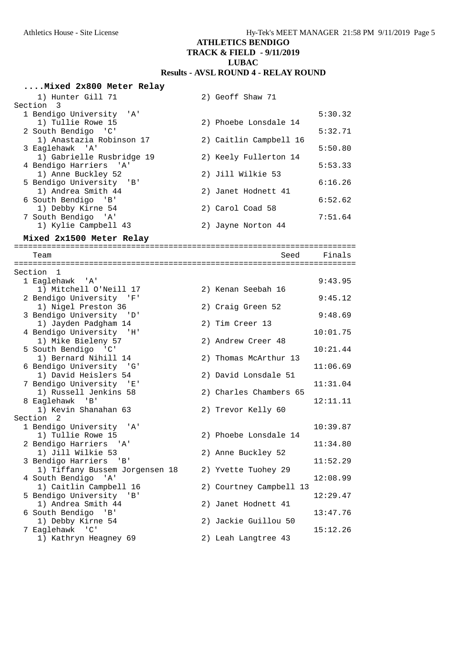| Mixed 2x800 Meter Relay                          |                         |          |
|--------------------------------------------------|-------------------------|----------|
| 1) Hunter Gill 71                                | 2) Geoff Shaw 71        |          |
| Section<br>3                                     |                         |          |
| 1 Bendigo University<br>'' A '                   |                         | 5:30.32  |
| 1) Tullie Rowe 15                                | 2) Phoebe Lonsdale 14   |          |
| 2 South Bendigo 'C'                              |                         | 5:32.71  |
| 1) Anastazia Robinson 17                         | 2) Caitlin Campbell 16  |          |
| 3 Eaglehawk 'A'                                  |                         | 5:50.80  |
| 1) Gabrielle Rusbridge 19                        | 2) Keely Fullerton 14   |          |
| 4 Bendigo Harriers 'A'                           |                         | 5:53.33  |
| 1) Anne Buckley 52                               | 2) Jill Wilkie 53       |          |
| 5 Bendigo University 'B'                         |                         | 6:16.26  |
| 1) Andrea Smith 44                               | 2) Janet Hodnett 41     |          |
| 6 South Bendigo<br>'B'                           |                         | 6:52.62  |
| 1) Debby Kirne 54<br>7 South Bendigo 'A'         | 2) Carol Coad 58        | 7:51.64  |
| 1) Kylie Campbell 43                             | 2) Jayne Norton 44      |          |
|                                                  |                         |          |
| Mixed 2x1500 Meter Relay                         |                         |          |
| Team                                             | Seed                    | Finals   |
|                                                  |                         |          |
| Section 1                                        |                         |          |
| 1 Eaglehawk 'A'<br>1) Mitchell O'Neill 17        | 2) Kenan Seebah 16      | 9:43.95  |
| 2 Bendigo University<br>- 'F'                    |                         | 9:45.12  |
| 1) Nigel Preston 36                              | 2) Craig Green 52       |          |
| 3 Bendigo University 'D'                         |                         | 9:48.69  |
| 1) Jayden Padgham 14                             | 2) Tim Creer 13         |          |
| 4 Bendigo University 'H'                         |                         | 10:01.75 |
| 1) Mike Bieleny 57                               | 2) Andrew Creer 48      |          |
| 5 South Bendigo 'C'                              |                         | 10:21.44 |
| 1) Bernard Nihill 14                             | 2) Thomas McArthur 13   |          |
| 6 Bendigo University 'G'                         |                         | 11:06.69 |
| 1) David Heislers 54<br>7 Bendigo University 'E' | 2) David Lonsdale 51    | 11:31.04 |
| 1) Russell Jenkins 58                            | 2) Charles Chambers 65  |          |
| 8 Eaglehawk 'B'                                  |                         | 12:11.11 |
| 1) Kevin Shanahan 63                             | 2) Trevor Kelly 60      |          |
| Section 2                                        |                         |          |
| 1 Bendigo University 'A'                         |                         | 10:39.87 |
| 1) Tullie Rowe 15                                | 2) Phoebe Lonsdale 14   |          |
| 2 Bendigo Harriers 'A'                           |                         | 11:34.80 |
| 1) Jill Wilkie 53                                | 2) Anne Buckley 52      |          |
| 3 Bendigo Harriers<br>'B'                        |                         | 11:52.29 |
| 1) Tiffany Bussem Jorgensen 18                   | 2) Yvette Tuohey 29     |          |
| 4 South Bendigo 'A'                              |                         | 12:08.99 |
| 1) Caitlin Campbell 16                           | 2) Courtney Campbell 13 |          |
| 5 Bendigo University 'B'                         |                         | 12:29.47 |
| 1) Andrea Smith 44<br>6 South Bendigo<br>'B'     | 2) Janet Hodnett 41     | 13:47.76 |
| 1) Debby Kirne 54                                | 2) Jackie Guillou 50    |          |
| 7 Eaglehawk 'C'                                  |                         | 15:12.26 |
| 1) Kathryn Heagney 69                            | 2) Leah Langtree 43     |          |
|                                                  |                         |          |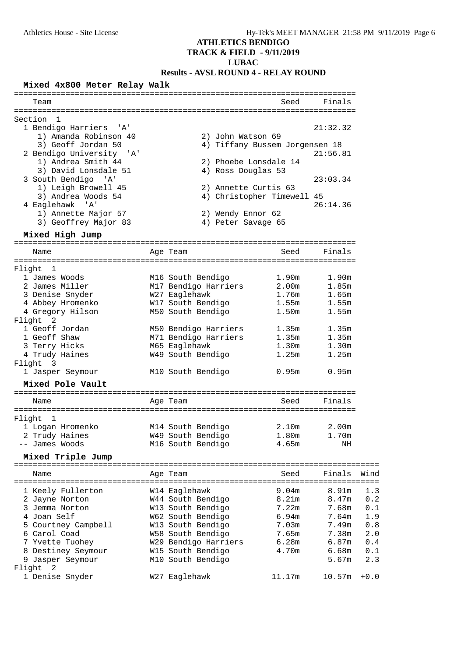## **ATHLETICS BENDIGO**

#### **TRACK & FIELD - 9/11/2019**

## **LUBAC**

#### **Results - AVSL ROUND 4 - RELAY ROUND**

#### **Mixed 4x800 Meter Relay Walk**

| Team                               |                                | Seed              | Finals   |        |
|------------------------------------|--------------------------------|-------------------|----------|--------|
|                                    |                                |                   |          |        |
| Section 1                          |                                |                   |          |        |
| 1 Bendigo Harriers 'A'             |                                |                   | 21:32.32 |        |
| 1) Amanda Robinson 40              | 2) John Watson 69              |                   |          |        |
| 3) Geoff Jordan 50                 | 4) Tiffany Bussem Jorgensen 18 |                   |          |        |
| 2 Bendigo University 'A'           |                                |                   | 21:56.81 |        |
| 1) Andrea Smith 44                 | 2) Phoebe Lonsdale 14          |                   |          |        |
| 3) David Lonsdale 51               | 4) Ross Douglas 53             |                   |          |        |
| 3 South Bendigo 'A'                |                                |                   | 23:03.34 |        |
| 1) Leigh Browell 45                | 2) Annette Curtis 63           |                   |          |        |
| 3) Andrea Woods 54                 | 4) Christopher Timewell 45     |                   |          |        |
| 4 Eaglehawk 'A'                    |                                |                   | 26:14.36 |        |
| 1) Annette Major 57                | 2) Wendy Ennor 62              |                   |          |        |
| 3) Geoffrey Major 83               | 4) Peter Savage 65             |                   |          |        |
| Mixed High Jump                    |                                |                   |          |        |
| Name                               |                                | Seed              | Finals   |        |
|                                    | Age Team                       |                   |          |        |
| Flight 1                           |                                |                   |          |        |
| 1 James Woods                      | M16 South Bendigo              | 1.90m             | 1.90m    |        |
| 2 James Miller                     | M17 Bendigo Harriers           | 2.00m             | 1.85m    |        |
| 3 Denise Snyder                    | W27 Eaglehawk                  | 1.76m             | 1.65m    |        |
| 4 Abbey Hromenko                   | W17 South Bendigo              | 1.55m             | 1.55m    |        |
| 4 Gregory Hilson                   | M50 South Bendigo              | 1.50 <sub>m</sub> | 1.55m    |        |
| Flight 2                           |                                |                   |          |        |
| 1 Geoff Jordan                     | M50 Bendigo Harriers           | 1.35m             | 1.35m    |        |
| 1 Geoff Shaw                       |                                |                   | 1.35m    |        |
|                                    | M71 Bendigo Harriers           | 1.35m<br>1.30m    | 1.30m    |        |
| 3 Terry Hicks                      | M65 Eaglehawk                  |                   | 1.25m    |        |
| 4 Trudy Haines                     | W49 South Bendigo              | 1.25m             |          |        |
| Flight 3                           |                                | 0.95m             | 0.95m    |        |
| 1 Jasper Seymour                   | M10 South Bendigo              |                   |          |        |
| Mixed Pole Vault                   |                                |                   |          |        |
| Name                               | Age Team                       | Seed              | Finals   |        |
|                                    |                                |                   |          |        |
| Flight 1                           |                                |                   |          |        |
| 1 Logan Hromenko<br>2 Trudy Haines | M14 South Bendigo              | 2.10m<br>1.80m    | 2.00m    |        |
|                                    | W49 South Bendigo              |                   | 1.70m    |        |
| -- James Woods                     | M16 South Bendigo              | 4.65m             | ΝH       |        |
| Mixed Triple Jump                  |                                |                   |          |        |
| Name                               | Age Team                       | Seed              | Finals   | Wind   |
|                                    |                                |                   |          |        |
| 1 Keely Fullerton                  | W14 Eaglehawk                  | 9.04m             | 8.91m    | 1.3    |
| 2 Jayne Norton                     | W44 South Bendigo              | 8.21m             | 8.47m    | 0.2    |
| 3 Jemma Norton                     | W13 South Bendigo              | 7.22m             | 7.68m    | 0.1    |
| 4 Joan Self                        | W62 South Bendigo              | 6.94m             | 7.64m    | 1.9    |
| 5 Courtney Campbell                | W13 South Bendigo              | 7.03m             | 7.49m    | 0.8    |
| 6 Carol Coad                       | W58 South Bendigo              | 7.65m             | 7.38m    | 2.0    |
| 7 Yvette Tuohey                    | W29 Bendigo Harriers           | 6.28m             | 6.87m    | 0.4    |
| 8 Destiney Seymour                 | W15 South Bendigo              | 4.70m             | 6.68m    | 0.1    |
| 9 Jasper Seymour                   | M10 South Bendigo              |                   | 5.67m    | 2.3    |
| Flight<br>2                        |                                |                   |          |        |
| 1 Denise Snyder                    | W27 Eaglehawk                  | 11.17m            | 10.57m   | $+0.0$ |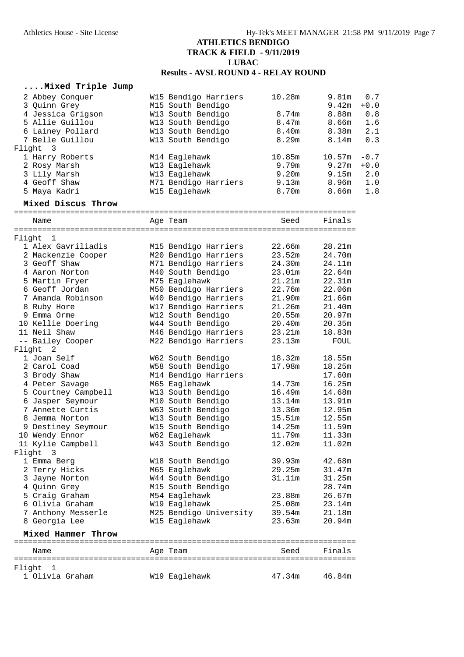#### **....Mixed Triple Jump**

| 2 Abbey Conquer                      | W15 Bendigo Harriers                    | 10.28m           | 9.81m             | 0.7    |
|--------------------------------------|-----------------------------------------|------------------|-------------------|--------|
| 3 Quinn Grey                         | M15 South Bendigo                       |                  | 9.42 <sub>m</sub> | $+0.0$ |
| 4 Jessica Grigson                    | W13 South Bendigo                       | 8.74m            | 8.88m             | 0.8    |
| 5 Allie Guillou                      | W13 South Bendigo                       | 8.47m            | 8.66m             | 1.6    |
| 6 Lainey Pollard                     | W13 South Bendigo                       | 8.40m            | 8.38m             | 2.1    |
| 7 Belle Guillou                      | W13 South Bendigo                       | 8.29m            | 8.14m             | 0.3    |
| Flight<br>$\overline{3}$             |                                         |                  |                   |        |
| 1 Harry Roberts                      | M14 Eaglehawk                           | 10.85m           | 10.57m            | $-0.7$ |
| 2 Rosy Marsh                         | W13 Eaglehawk                           | 9.79m            | 9.27m             | $+0.0$ |
| 3 Lily Marsh                         | W13 Eaglehawk                           | 9.20m            | 9.15m             | 2.0    |
| 4 Geoff Shaw                         | M71 Bendigo Harriers                    | 9.13m            | 8.96m             | 1.0    |
| 5 Maya Kadri                         | W15 Eaglehawk                           | 8.70m            | 8.66m             | 1.8    |
| Mixed Discus Throw                   |                                         |                  |                   |        |
| Name                                 | Age Team                                | Seed             | Finals            |        |
|                                      |                                         |                  |                   |        |
| Flight<br>$\mathbf{1}$               |                                         |                  |                   |        |
| 1 Alex Gavriliadis                   | M15 Bendigo Harriers                    | 22.66m           | 28.21m            |        |
| 2 Mackenzie Cooper                   | M20 Bendigo Harriers                    | 23.52m           | 24.70m            |        |
| 3 Geoff Shaw                         | M71 Bendigo Harriers                    | 24.30m           | 24.11m            |        |
| 4 Aaron Norton                       | M40 South Bendigo                       | 23.01m           | 22.64m            |        |
| 5 Martin Fryer                       | M75 Eaglehawk                           | 21.21m           | 22.31m            |        |
| 6 Geoff Jordan                       | M50 Bendigo Harriers                    | 22.76m           | 22.06m            |        |
| 7 Amanda Robinson                    | W40 Bendigo Harriers                    | 21.90m           | 21.66m            |        |
| 8 Ruby Hore                          | W17 Bendigo Harriers                    | 21.26m           | 21.40m            |        |
| 9 Emma Orme                          | W12 South Bendigo                       | 20.55m           | 20.97m            |        |
| 10 Kellie Doering                    | W44 South Bendigo                       | 20.40m           | 20.35m            |        |
| 11 Neil Shaw                         | M46 Bendigo Harriers                    | 23.21m           | 18.83m            |        |
| -- Bailey Cooper                     | M22 Bendigo Harriers                    | 23.13m           | FOUL              |        |
| Flight<br>$\overline{\phantom{0}}^2$ |                                         |                  |                   |        |
| 1 Joan Self                          | W62 South Bendigo                       | 18.32m           | 18.55m            |        |
| 2 Carol Coad                         | W58 South Bendigo                       | 17.98m           | 18.25m            |        |
| 3 Brody Shaw                         | M14 Bendigo Harriers                    |                  | 17.60m            |        |
| 4 Peter Savage                       | M65 Eaglehawk                           | 14.73m           | 16.25m            |        |
| 5 Courtney Campbell                  | W13 South Bendigo                       | 16.49m           | 14.68m            |        |
| 6 Jasper Seymour                     | M10 South Bendigo                       | 13.14m           | 13.91m            |        |
| 7 Annette Curtis                     | W63 South Bendigo                       | 13.36m           | 12.95m            |        |
| 8 Jemma Norton                       | W13 South Bendigo                       | 15.51m           | 12.55m            |        |
| 9 Destiney Seymour                   | W15 South Bendigo                       | 14.25m           | 11.59m            |        |
| 10 Wendy Ennor                       | W62 Eaglehawk                           | 11.79m           | 11.33m            |        |
| 11 Kylie Campbell                    | W43 South Bendigo                       | 12.02m           | 11.02m            |        |
| Flight<br>- 3                        |                                         |                  |                   |        |
| 1 Emma Berg                          | W18 South Bendigo                       | 39.93m           | 42.68m            |        |
| 2 Terry Hicks                        | M65 Eaglehawk                           | 29.25m           | 31.47m            |        |
| 3 Jayne Norton                       | W44 South Bendigo                       | 31.11m           | 31.25m            |        |
| 4 Quinn Grey                         | M15 South Bendigo                       |                  | 28.74m<br>26.67m  |        |
| 5 Craig Graham                       | M54 Eaglehawk                           | 23.88m           |                   |        |
| 6 Olivia Graham                      | W19 Eaglehawk                           | 25.08m           | 23.14m            |        |
| 7 Anthony Messerle<br>8 Georgia Lee  | M25 Bendigo University<br>W15 Eaglehawk | 39.54m<br>23.63m | 21.18m<br>20.94m  |        |
| Mixed Hammer Throw                   |                                         |                  |                   |        |
|                                      |                                         |                  |                   |        |
| Name                                 | Age Team                                | Seed             | Finals            |        |
|                                      |                                         |                  |                   |        |
| Flight<br>-1<br>1 Olivia Graham      | W19 Eaglehawk                           | 47.34m           | 46.84m            |        |
|                                      |                                         |                  |                   |        |